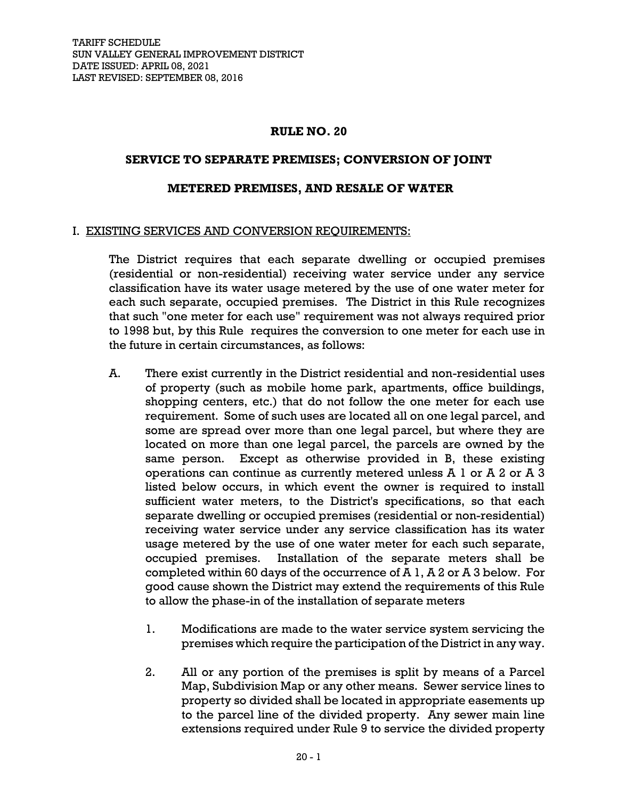### **RULE NO. 20**

### **SERVICE TO SEPARATE PREMISES; CONVERSION OF JOINT**

### **METERED PREMISES, AND RESALE OF WATER**

### I. EXISTING SERVICES AND CONVERSION REQUIREMENTS:

The District requires that each separate dwelling or occupied premises (residential or non-residential) receiving water service under any service classification have its water usage metered by the use of one water meter for each such separate, occupied premises. The District in this Rule recognizes that such "one meter for each use" requirement was not always required prior to 1998 but, by this Rule requires the conversion to one meter for each use in the future in certain circumstances, as follows:

- A. There exist currently in the District residential and non-residential uses of property (such as mobile home park, apartments, office buildings, shopping centers, etc.) that do not follow the one meter for each use requirement. Some of such uses are located all on one legal parcel, and some are spread over more than one legal parcel, but where they are located on more than one legal parcel, the parcels are owned by the same person. Except as otherwise provided in B, these existing operations can continue as currently metered unless A 1 or A 2 or A 3 listed below occurs, in which event the owner is required to install sufficient water meters, to the District's specifications, so that each separate dwelling or occupied premises (residential or non-residential) receiving water service under any service classification has its water usage metered by the use of one water meter for each such separate, occupied premises. Installation of the separate meters shall be completed within 60 days of the occurrence of A 1, A 2 or A 3 below. For good cause shown the District may extend the requirements of this Rule to allow the phase-in of the installation of separate meters
	- 1. Modifications are made to the water service system servicing the premises which require the participation of the District in any way.
	- 2. All or any portion of the premises is split by means of a Parcel Map, Subdivision Map or any other means. Sewer service lines to property so divided shall be located in appropriate easements up to the parcel line of the divided property. Any sewer main line extensions required under Rule 9 to service the divided property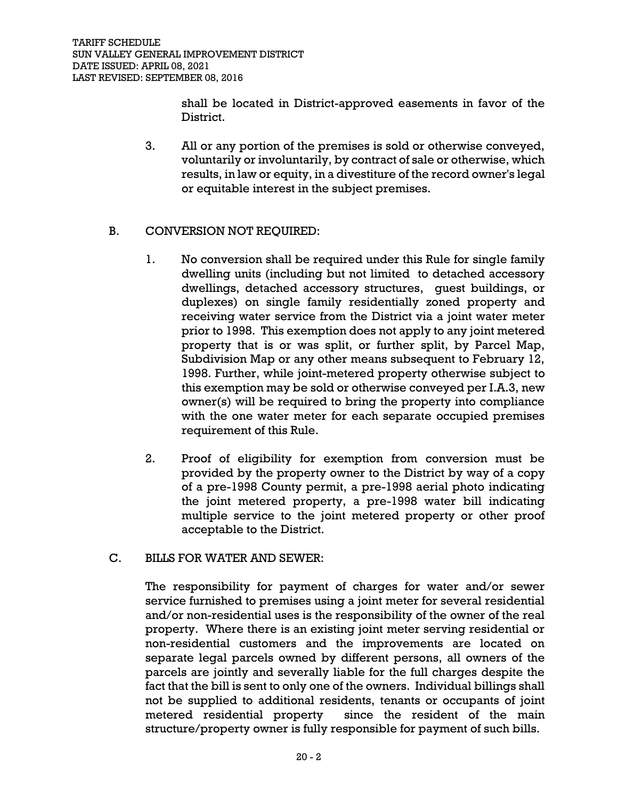shall be located in District-approved easements in favor of the District.

3. All or any portion of the premises is sold or otherwise conveyed, voluntarily or involuntarily, by contract of sale or otherwise, which results, in law or equity, in a divestiture of the record owner's legal or equitable interest in the subject premises.

# B. CONVERSION NOT REQUIRED:

- 1. No conversion shall be required under this Rule for single family dwelling units (including but not limited to detached accessory dwellings, detached accessory structures, guest buildings, or duplexes) on single family residentially zoned property and receiving water service from the District via a joint water meter prior to 1998. This exemption does not apply to any joint metered property that is or was split, or further split, by Parcel Map, Subdivision Map or any other means subsequent to February 12, 1998. Further, while joint-metered property otherwise subject to this exemption may be sold or otherwise conveyed per I.A.3, new owner(s) will be required to bring the property into compliance with the one water meter for each separate occupied premises requirement of this Rule.
- 2. Proof of eligibility for exemption from conversion must be provided by the property owner to the District by way of a copy of a pre-1998 County permit, a pre-1998 aerial photo indicating the joint metered property, a pre-1998 water bill indicating multiple service to the joint metered property or other proof acceptable to the District.

# C. BILLS FOR WATER AND SEWER:

The responsibility for payment of charges for water and/or sewer service furnished to premises using a joint meter for several residential and/or non-residential uses is the responsibility of the owner of the real property. Where there is an existing joint meter serving residential or non-residential customers and the improvements are located on separate legal parcels owned by different persons, all owners of the parcels are jointly and severally liable for the full charges despite the fact that the bill is sent to only one of the owners. Individual billings shall not be supplied to additional residents, tenants or occupants of joint metered residential property since the resident of the main structure/property owner is fully responsible for payment of such bills.